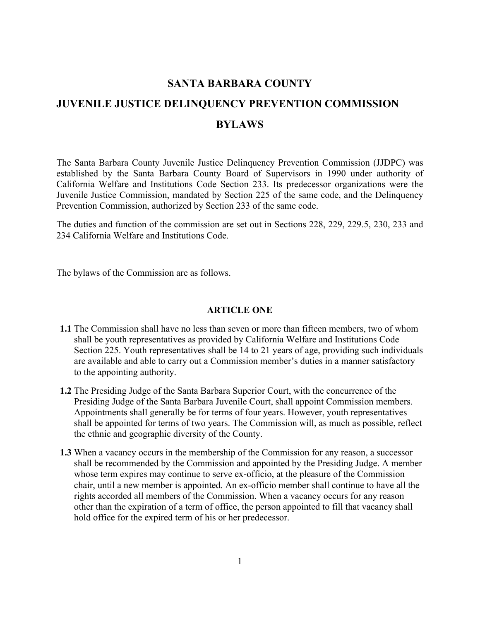# SANTA BARBARA COUNTY<br>
JUVENILE JUSTICE DELINQUENCY PREVENTION<br>
BYLAWS<br>
The Santa Barbara County Juvenile Justice Delinquency Prevent<br>
established by the Santa Barbara County Board of Supervisory **SANTA BARBARA COUNTY JUVENILE JUSTICE DELINQUENCY PREVENTION COMMISSION BYLAWS**

The Santa Barbara County Juvenile Justice Delinquency Prevention Commission (JJDPC) was established by the Santa Barbara County Board of Supervisors in 1990 under authority of California Welfare and Institutions Code Section 233. Its predecessor organizations were the Juvenile Justice Commission, mandated by Section 225 of the same code, and the Delinquency Prevention Commission, authorized by Section 233 of the same code.

The duties and function of the commission are set out in Sections 228, 229, 229.5, 230, 233 and 234 California Welfare and Institutions Code.

The bylaws of the Commission are as follows.

### **ARTICLE ONE**

- **1.1** The Commission shall have no less than seven or more than fifteen members, two of whom shall be youth representatives as provided by California Welfare and Institutions Code Section 225. Youth representatives shall be 14 to 21 years of age, providing such individuals are available and able to carry out a Commission member's duties in a manner satisfactory to the appointing authority.
- **1.2** The Presiding Judge of the Santa Barbara Superior Court, with the concurrence of the Presiding Judge of the Santa Barbara Juvenile Court, shall appoint Commission members. Appointments shall generally be for terms of four years. However, youth representatives shall be appointed for terms of two years. The Commission will, as much as possible, reflect the ethnic and geographic diversity of the County.
- **1.3** When a vacancy occurs in the membership of the Commission for any reason, a successor shall be recommended by the Commission and appointed by the Presiding Judge. A member whose term expires may continue to serve ex-officio, at the pleasure of the Commission chair, until a new member is appointed. An ex-officio member shall continue to have all the rights accorded all members of the Commission. When a vacancy occurs for any reason other than the expiration of a term of office, the person appointed to fill that vacancy shall hold office for the expired term of his or her predecessor.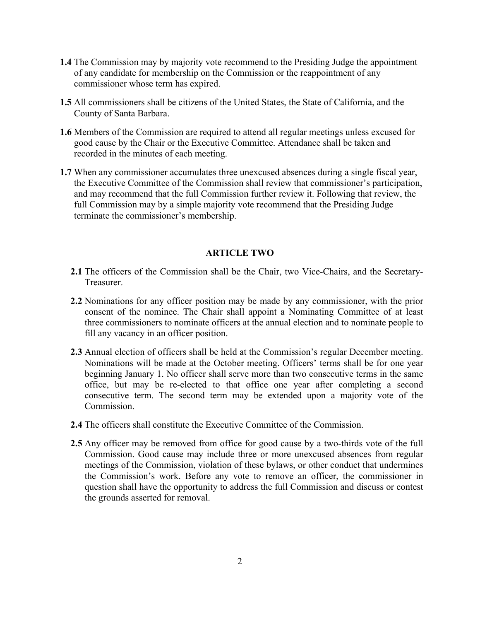- 1.4 The Commission may by majority vote recommend to the Presor<br>of any candidate for membership on the Commission or the re<br>commissioner whose term has expired.<br>1.5 All commissioners shall be citizens of the United States, **1.4** The Commission may by majority vote recommend to the Presiding Judge the appointment of any candidate for membership on the Commission or the reappointment of any commissioner whose term has expired.
	- **1.5** All commissioners shall be citizens of the United States, the State of California, and the County of Santa Barbara.
	- **1.6** Members of the Commission are required to attend all regular meetings unless excused for good cause by the Chair or the Executive Committee. Attendance shall be taken and recorded in the minutes of each meeting.
	- **1.7** When any commissioner accumulates three unexcused absences during a single fiscal year, the Executive Committee of the Commission shall review that commissioner's participation, and may recommend that the full Commission further review it. Following that review, the full Commission may by a simple majority vote recommend that the Presiding Judge terminate the commissioner's membership.

### **ARTICLE TWO**

- **2.1** The officers of the Commission shall be the Chair, two Vice-Chairs, and the Secretary-Treasurer.
- **2.2** Nominations for any officer position may be made by any commissioner, with the prior consent of the nominee. The Chair shall appoint a Nominating Committee of at least three commissioners to nominate officers at the annual election and to nominate people to fill any vacancy in an officer position.
- **2.3** Annual election of officers shall be held at the Commission's regular December meeting. Nominations will be made at the October meeting. Officers' terms shall be for one year beginning January 1. No officer shall serve more than two consecutive terms in the same office, but may be re-elected to that office one year after completing a second consecutive term. The second term may be extended upon a majority vote of the **Commission**
- **2.4** The officers shall constitute the Executive Committee of the Commission.
- **2.5** Any officer may be removed from office for good cause by a two-thirds vote of the full Commission. Good cause may include three or more unexcused absences from regular meetings of the Commission, violation of these bylaws, or other conduct that undermines the Commission's work. Before any vote to remove an officer, the commissioner in question shall have the opportunity to address the full Commission and discuss or contest the grounds asserted for removal.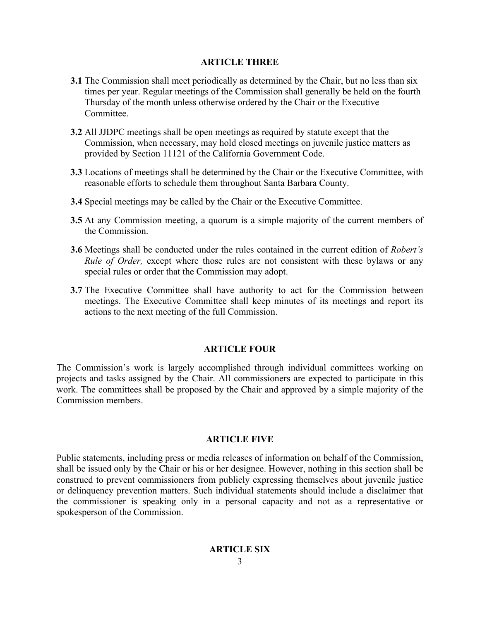### **ARTICLE THREE**

- **ARTICLE THREE**<br>
3.1 The Commission shall meet periodically as determined by<br>
times per year. Regular meetings of the Commission shall<br>
12 Thursday of the month unless otherwise ordered by the Cha<br>
2.2 All JJDPC meetings s **3.1** The Commission shall meet periodically as determined by the Chair, but no less than six times per year. Regular meetings of the Commission shall generally be held on the fourth Thursday of the month unless otherwise ordered by the Chair or the Executive Committee.
	- **3.2** All JJDPC meetings shall be open meetings as required by statute except that the Commission, when necessary, may hold closed meetings on juvenile justice matters as provided by Section 11121 of the California Government Code.
	- **3.3** Locations of meetings shall be determined by the Chair or the Executive Committee, with reasonable efforts to schedule them throughout Santa Barbara County.
	- **3.4** Special meetings may be called by the Chair or the Executive Committee.
	- **3.5** At any Commission meeting, a quorum is a simple majority of the current members of the Commission.
	- **3.6** Meetings shall be conducted under the rules contained in the current edition of *Robert's Rule of Order,* except where those rules are not consistent with these bylaws or any special rules or order that the Commission may adopt.
	- **3.7** The Executive Committee shall have authority to act for the Commission between meetings. The Executive Committee shall keep minutes of its meetings and report its actions to the next meeting of the full Commission.

# **ARTICLE FOUR**

The Commission's work is largely accomplished through individual committees working on projects and tasks assigned by the Chair. All commissioners are expected to participate in this work. The committees shall be proposed by the Chair and approved by a simple majority of the Commission members.

# **ARTICLE FIVE**

Public statements, including press or media releases of information on behalf of the Commission, shall be issued only by the Chair or his or her designee. However, nothing in this section shall be construed to prevent commissioners from publicly expressing themselves about juvenile justice or delinquency prevention matters. Such individual statements should include a disclaimer that the commissioner is speaking only in a personal capacity and not as a representative or spokesperson of the Commission.

# **ARTICLE SIX**